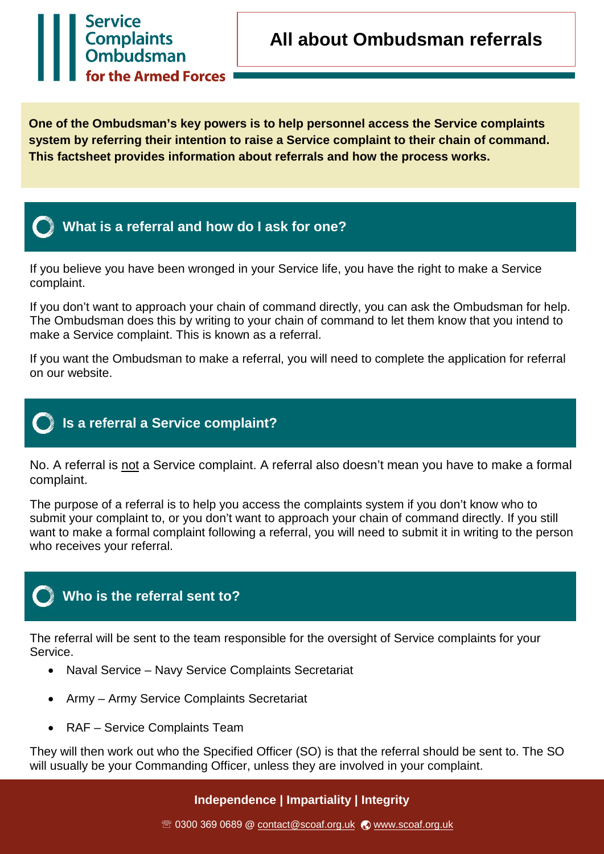

**One of the Ombudsman's key powers is to help personnel access the Service complaints system by referring their intention to raise a Service complaint to their chain of command. This factsheet provides information about referrals and how the process works.** 



Service<br>Complaints<br>Ombudsman

for the Armed Forces

If you believe you have been wronged in your Service life, you have the right to make a Service complaint.

If you don't want to approach your chain of command directly, you can ask the Ombudsman for help. The Ombudsman does this by writing to your chain of command to let them know that you intend to make a Service complaint. This is known as a referral.

If you want the Ombudsman to make a referral, you will need to complete the application for referral on our website.



No. A referral is not a Service complaint. A referral also doesn't mean you have to make a formal complaint.

The purpose of a referral is to help you access the complaints system if you don't know who to submit your complaint to, or you don't want to approach your chain of command directly. If you still want to make a formal complaint following a referral, you will need to submit it in writing to the person who receives your referral.

## **Who is the referral sent to?**

The referral will be sent to the team responsible for the oversight of Service complaints for your Service.

- Naval Service Navy Service Complaints Secretariat
- Army Army Service Complaints Secretariat
- RAF Service Complaints Team

They will then work out who the Specified Officer (SO) is that the referral should be sent to. The SO will usually be your Commanding Officer, unless they are involved in your complaint.

## **Independence | Impartiality | Integrity**